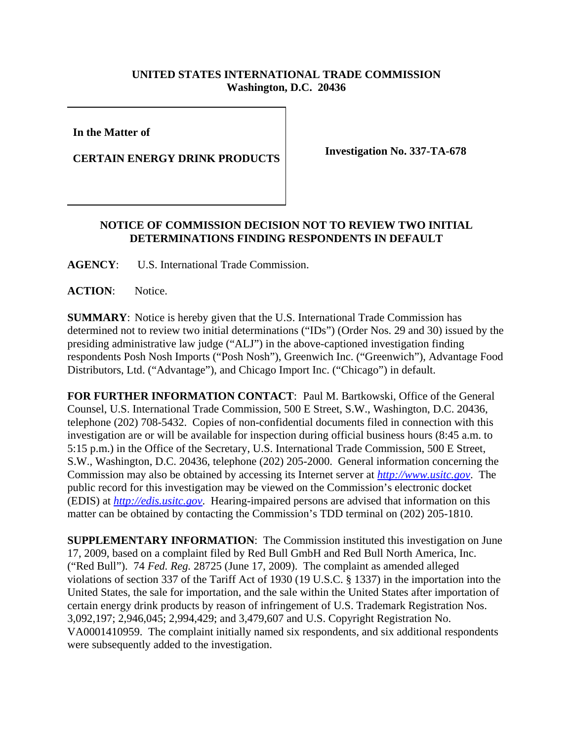## **UNITED STATES INTERNATIONAL TRADE COMMISSION Washington, D.C. 20436**

**In the Matter of** 

**CERTAIN ENERGY DRINK PRODUCTS** Investigation No. 337-TA-678

## **NOTICE OF COMMISSION DECISION NOT TO REVIEW TWO INITIAL DETERMINATIONS FINDING RESPONDENTS IN DEFAULT**

**AGENCY**: U.S. International Trade Commission.

ACTION: Notice.

**SUMMARY**: Notice is hereby given that the U.S. International Trade Commission has determined not to review two initial determinations ("IDs") (Order Nos. 29 and 30) issued by the presiding administrative law judge ("ALJ") in the above-captioned investigation finding respondents Posh Nosh Imports ("Posh Nosh"), Greenwich Inc. ("Greenwich"), Advantage Food Distributors, Ltd. ("Advantage"), and Chicago Import Inc. ("Chicago") in default.

**FOR FURTHER INFORMATION CONTACT**: Paul M. Bartkowski, Office of the General Counsel, U.S. International Trade Commission, 500 E Street, S.W., Washington, D.C. 20436, telephone (202) 708-5432. Copies of non-confidential documents filed in connection with this investigation are or will be available for inspection during official business hours (8:45 a.m. to 5:15 p.m.) in the Office of the Secretary, U.S. International Trade Commission, 500 E Street, S.W., Washington, D.C. 20436, telephone (202) 205-2000. General information concerning the Commission may also be obtained by accessing its Internet server at *http://www.usitc.gov*. The public record for this investigation may be viewed on the Commission's electronic docket (EDIS) at *http://edis.usitc.gov*. Hearing-impaired persons are advised that information on this matter can be obtained by contacting the Commission's TDD terminal on (202) 205-1810.

**SUPPLEMENTARY INFORMATION**: The Commission instituted this investigation on June 17, 2009, based on a complaint filed by Red Bull GmbH and Red Bull North America, Inc. ("Red Bull"). 74 *Fed. Reg.* 28725 (June 17, 2009). The complaint as amended alleged violations of section 337 of the Tariff Act of 1930 (19 U.S.C. § 1337) in the importation into the United States, the sale for importation, and the sale within the United States after importation of certain energy drink products by reason of infringement of U.S. Trademark Registration Nos. 3,092,197; 2,946,045; 2,994,429; and 3,479,607 and U.S. Copyright Registration No. VA0001410959. The complaint initially named six respondents, and six additional respondents were subsequently added to the investigation.